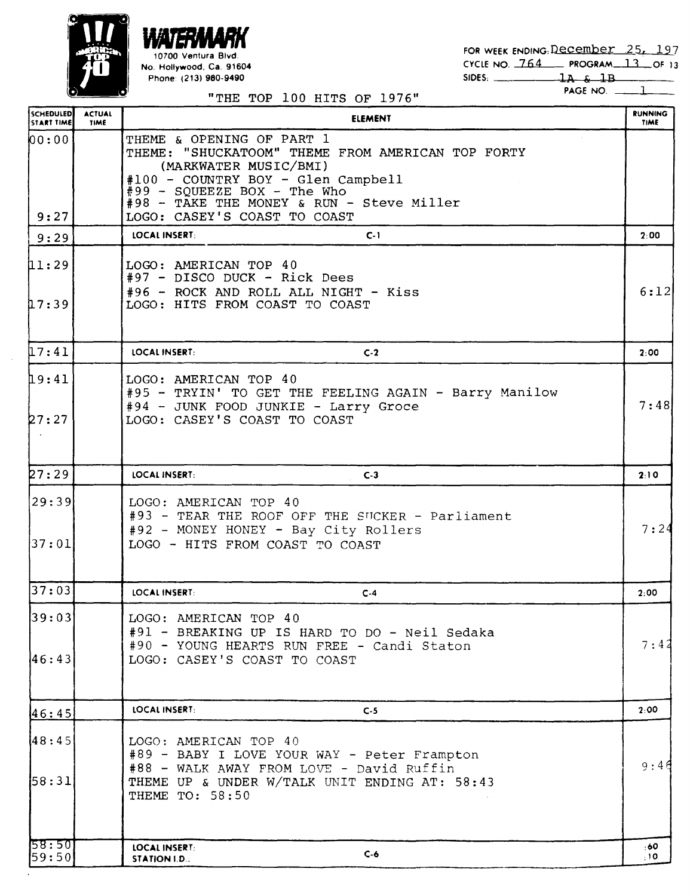

10700 Ventura Blvd No. Hollywood. Ca. 91604

Phone: (213) 980-9490

FOR WEEK ENDING: December 25, 197

CYCLE NO.  $764$  PROGRAM  $13$  OF 13

 $\frac{1 \text{A}}{\text{PAGE NO}}$  =  $\frac{1 \text{B}}{\text{PAGE NO}}$ 

| 00:00<br>9:27<br>LOCAL INSERT:<br>9:29<br>17:41<br>LOCAL INSERT:<br>19:41 | <b>ELEMENT</b>                                                                                                                                                                                                                                              | <b>RUNNING</b><br><b>TIME</b> |
|---------------------------------------------------------------------------|-------------------------------------------------------------------------------------------------------------------------------------------------------------------------------------------------------------------------------------------------------------|-------------------------------|
| 11:29<br>17:39                                                            | THEME & OPENING OF PART 1<br>THEME: "SHUCKATOOM" THEME FROM AMERICAN TOP FORTY<br>(MARKWATER MUSIC/BMI)<br>#100 - COUNTRY BOY - Glen Campbell<br>$#99$ - SQUEEZE BOX - The Who<br>#98 - TAKE THE MONEY & RUN - Steve Miller<br>LOGO: CASEY'S COAST TO COAST |                               |
|                                                                           | $C-1$                                                                                                                                                                                                                                                       | 2:00                          |
|                                                                           | LOGO: AMERICAN TOP 40<br>#97 - DISCO DUCK - Rick Dees<br>#96 - ROCK AND ROLL ALL NIGHT - Kiss<br>LOGO: HITS FROM COAST TO COAST                                                                                                                             | 6:12                          |
|                                                                           | $C-2$                                                                                                                                                                                                                                                       | 2:00                          |
| 27:27                                                                     | LOGO: AMERICAN TOP 40<br>#95 - TRYIN' TO GET THE FEELING AGAIN - Barry Manilow<br>#94 - JUNK FOOD JUNKIE - Larry Groce<br>LOGO: CASEY'S COAST TO COAST                                                                                                      | 7:48                          |
| 27:29<br>LOCAL INSERT                                                     | $C-3$                                                                                                                                                                                                                                                       | 2:10                          |
| 29:39<br> 37:01                                                           | LOGO: AMERICAN TOP 40<br>#93 - TEAR THE ROOF OFF THE SUCKER - Parliament<br>#92 - MONEY HONEY - Bay City Rollers<br>LOGO - HITS FROM COAST TO COAST                                                                                                         | 7:24                          |
| 37:03<br>LOCAL INSERT:                                                    | $C-4$                                                                                                                                                                                                                                                       | 2:00                          |
| 39:03 <br> 46:43                                                          | LOGO: AMERICAN TOP 40<br>#91 - BREAKING UP IS HARD TO DO - Neil Sedaka<br>#90 - YOUNG HEARTS RUN FREE - Candi Staton<br>LOGO: CASEY'S COAST TO COAST                                                                                                        | 7:42                          |
| LOCAL INSERT:<br>46:45                                                    | $C-5$                                                                                                                                                                                                                                                       | 2:00                          |
| 148:45<br>58:31<br>THEME TO: 58:50                                        | LOGO: AMERICAN TOP 40<br>#89 - BABY I LOVE YOUR WAY - Peter Frampton<br>#88 - WALK AWAY FROM LOVE - David Ruffin<br>THEME UP & UNDER W/TALK UNIT ENDING AT: 58:43                                                                                           | 9:46                          |
| 58:501<br>LOCAL INSERT:<br>59:50<br><b>STATION I.D.:</b>                  |                                                                                                                                                                                                                                                             |                               |

"THE TOP 100 HITS OF 1976"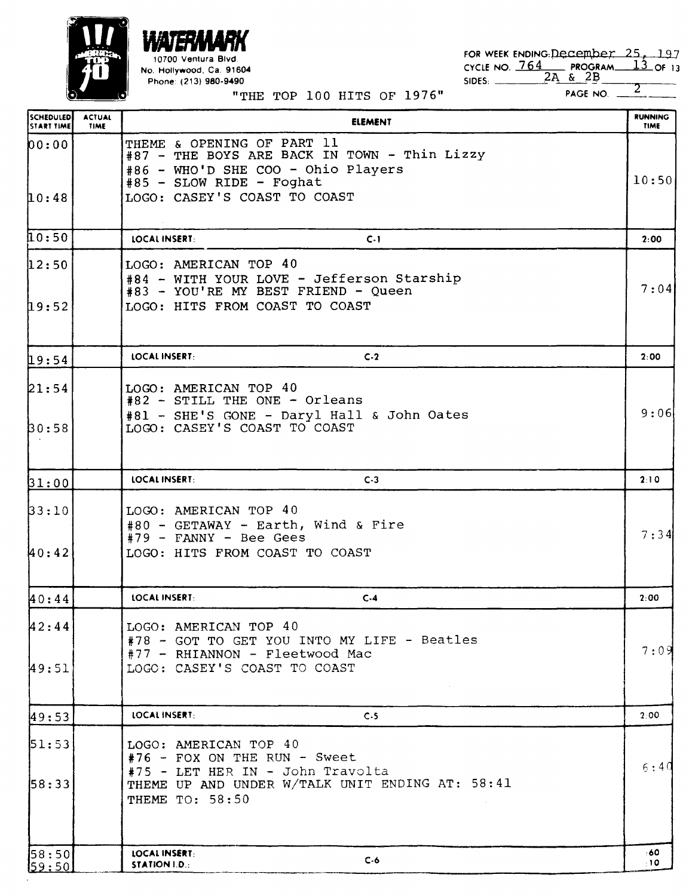

## 10700 Ventura Blvd

No. Hollywood. Ca. 91604 Phone: (213) 980-9490

FOR WEEK ENDING: December  $25<sub>f</sub>$  197 CYCLE NO.  $\frac{764}{2A}$  Program  $\frac{13}{3}$  of 13<br>sides:  $\frac{6}{PAGE}$  NO.  $\frac{2}{PAGE}$ 

 $\overline{2}$ 

| lə i                           | "THE TOP 100 HITS OF 1976"                                                                                                                                                   | $\mathbf{z}$<br>PAGE NO. |
|--------------------------------|------------------------------------------------------------------------------------------------------------------------------------------------------------------------------|--------------------------|
| SCHEDULED<br><b>START TIME</b> | <b>ACTUAL</b><br><b>ELEMENT</b><br><b>TIME</b>                                                                                                                               | <b>RUNNING</b><br>TIME   |
| 00:00<br>10:48                 | THEME & OPENING OF PART 11<br>#87 - THE BOYS ARE BACK IN TOWN - Thin Lizzy<br>#86 - WHO'D SHE COO - Ohio Players<br>#85 - SLOW RIDE - Foghat<br>LOGO: CASEY'S COAST TO COAST | 10:50                    |
| 10:50                          | LOCAL INSERT:<br>$C-1$                                                                                                                                                       | 2:00                     |
| 12:50<br>19:52                 | LOGO: AMERICAN TOP 40<br>#84 - WITH YOUR LOVE - Jefferson Starship<br>#83 - YOU'RE MY BEST FRIEND - Queen<br>LOGO: HITS FROM COAST TO COAST                                  | 7:04                     |
| 19:54                          | LOCAL INSERT:<br>$C-2$                                                                                                                                                       | 2:00                     |
| 21:54<br>30:58                 | LOGO: AMERICAN TOP 40<br>$#82$ - STILL THE ONE - Orleans<br>#81 - SHE'S GONE - Daryl Hall & John Oates<br>LOGO: CASEY'S COAST TO COAST                                       | 9:06                     |
| 31:00                          | LOCAL INSERT:<br>$C-3$                                                                                                                                                       | 2:10                     |
| 33:10<br>40:42                 | LOGO: AMERICAN TOP 40<br>#80 - GETAWAY - Earth, Wind & Fire<br>#79 - FANNY - Bee Gees<br>LOGO: HITS FROM COAST TO COAST                                                      | 7:34                     |
| 40:44                          | LOCAL INSERT:<br>$C-4$                                                                                                                                                       | 2:00                     |
| 42:44<br>149:51                | LOGO: AMERICAN TOP 40<br>#78 - GOT TO GET YOU INTO MY LIFE - Beatles<br>#77 - RHIANNON - Fleetwood Mac<br>LOGO: CASEY'S COAST TO COAST                                       | 7:09                     |
| 49:53                          | LOCAL INSERT:<br>C.5                                                                                                                                                         | 2:00                     |
| 51:53<br>158:33                | LOGO: AMERICAN TOP 40<br>#76 - FOX ON THE RUN - Sweet<br>#75 - LET HER IN - John Travolta<br>THEME UP AND UNDER W/TALK UNIT ENDING AT: 58:41<br>THEME TO: 58:50              | 6:40                     |
| 58:50<br><b>59:50</b>          | LOCAL INSERT:<br>$C-6$<br><b>STATION I.D.:</b>                                                                                                                               | :60<br>$\pm 10$          |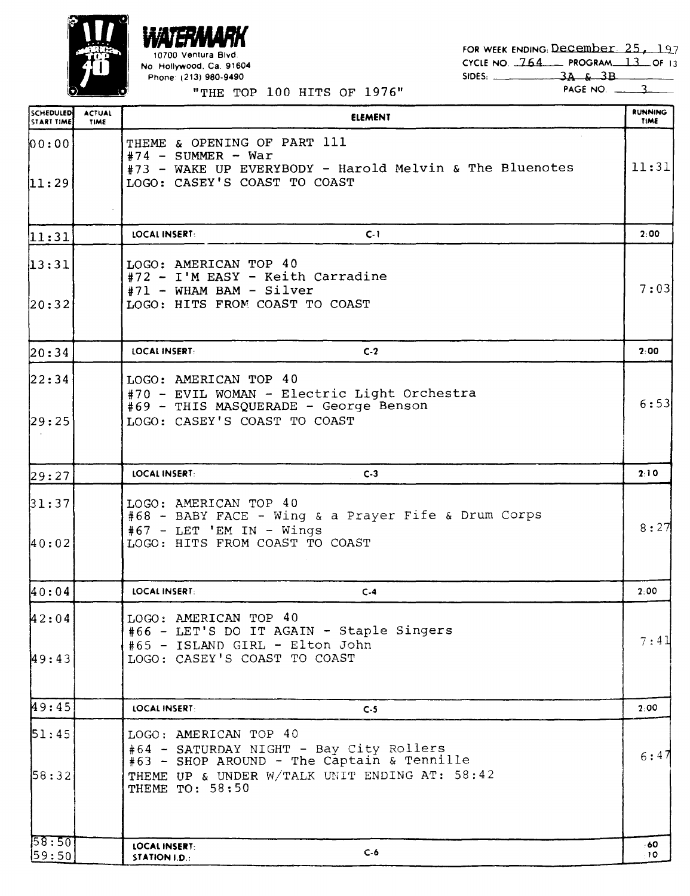

10700 ventura Blvd. No Hollywood. Ca. 91604 Phone (213) 980-9490

FOR WEEK ENDING: December 25, 197 CYCLE NO. 764 PROGRAM 13 OF 13<br>SIDES: 3A & 3B  $SIDES:$ 

PAGE NO.

 $\overline{\phantom{a}}$ 

"THE TOP 100 HITS OF 1976"

| SCHEDULED<br>START TIME | <b>ACTUAL</b><br>TIME | <b>ELEMENT</b>                                                                                                                                                                     | <b>RUNNING</b><br>TIME |
|-------------------------|-----------------------|------------------------------------------------------------------------------------------------------------------------------------------------------------------------------------|------------------------|
| 00:00<br> 11:29         |                       | THEME & OPENING OF PART 111<br>$#74$ - SUMMER - War<br>#73 - WAKE UP EVERYBODY - Harold Melvin & The Bluenotes<br>LOGO: CASEY'S COAST TO COAST                                     | 11:31                  |
| 11:31                   |                       | LOCAL INSERT:<br>$C-1$                                                                                                                                                             | 2:00                   |
| 13:31<br> 20:32         |                       | LOGO: AMERICAN TOP 40<br>#72 - I'M EASY - Keith Carradine<br>$#71$ - WHAM BAM - Silver<br>LOGO: HITS FROM COAST TO COAST                                                           | 7:03                   |
| 20:34                   |                       | LOCAL INSERT:<br>$C-2$                                                                                                                                                             | 2:00                   |
| 22:34<br>29:25          |                       | LOGO: AMERICAN TOP 40<br>#70 - EVIL WOMAN - Electric Light Orchestra<br>#69 - THIS MASQUERADE - George Benson<br>LOGO: CASEY'S COAST TO COAST                                      | 6:53                   |
| 29:27                   |                       | LOCAL INSERT:<br>$C-3$                                                                                                                                                             | 2:10                   |
| 31:37<br>40:02          |                       | LOGO: AMERICAN TOP 40<br>#68 - BABY FACE - Wing & a Prayer Fife & Drum Corps<br>$#67$ - LET 'EM IN - Wings<br>LOGO: HITS FROM COAST TO COAST                                       | 8:27                   |
| 40:04                   |                       | LOCAL INSERT.<br>$C-4$                                                                                                                                                             | 2:00                   |
| 42:04<br>49:43          |                       | LOGO: AMERICAN TOP 40<br>#66 - LET'S DO IT AGAIN - Staple Singers<br>#65 - ISLAND GIRL - Elton John<br>LOGO: CASEY'S COAST TO COAST                                                | 7:41                   |
| 49:45                   |                       | LOCAL INSERT:<br>$C-5$                                                                                                                                                             | 2:00                   |
| 51:45<br>58:32          |                       | LOGO: AMERICAN TOP 40<br>#64 - SATURDAY NIGHT - Bay City Rollers<br>#63 - SHOP AROUND - The Captain & Tennille<br>THEME UP & UNDER W/TALK UNIT ENDING AT: 58:42<br>THEME TO: 58:50 | 6:47                   |
| 58:501<br>59:50         |                       | LOCAL INSERT:<br>$C-6$<br>STATION I.D.:                                                                                                                                            | -60<br>-10             |